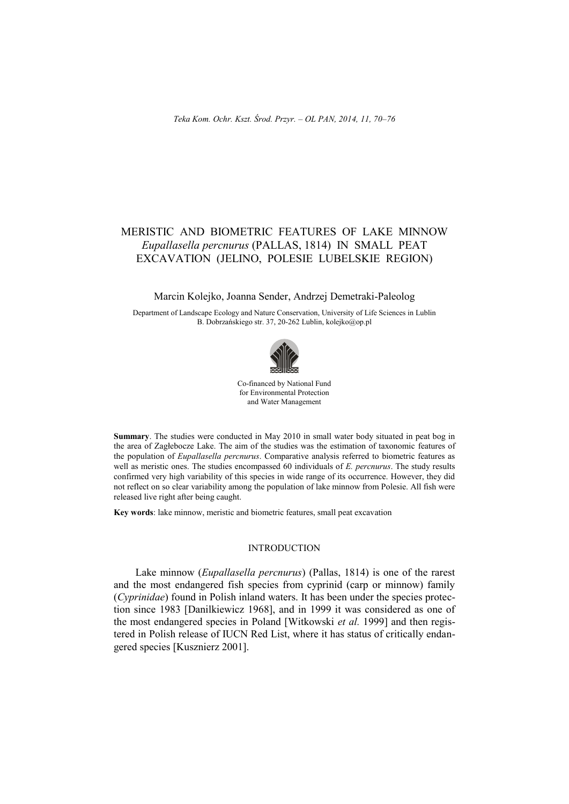# MERISTIC AND BIOMETRIC FEATURES OF LAKE MINNOW *Eupallasella percnurus* (PALLAS, 1814) IN SMALL PEAT EXCAVATION (JELINO, POLESIE LUBELSKIE REGION)

#### Marcin Kolejko, Joanna Sender, Andrzej Demetraki-Paleolog

Department of Landscape Ecology and Nature Conservation, University of Life Sciences in Lublin B. Dobrzańskiego str. 37, 20-262 Lublin[, kolejko@op.pl](mailto:kolejko@op.pl)



Co-financed by National Fund for Environmental Protection and Water Management

**Summary**. The studies were conducted in May 2010 in small water body situated in peat bog in the area of Zagłebocze Lake. The aim of the studies was the estimation of taxonomic features of the population of *Eupallasella percnurus*. Comparative analysis referred to biometric features as well as meristic ones. The studies encompassed 60 individuals of *E. percnurus*. The study results confirmed very high variability of this species in wide range of its occurrence. However, they did not reflect on so clear variability among the population of lake minnow from Polesie. All fish were released live right after being caught.

**Key words**: lake minnow, meristic and biometric features, small peat excavation

### INTRODUCTION

Lake minnow (*Eupallasella percnurus*) (Pallas, 1814) is one of the rarest and the most endangered fish species from cyprinid (carp or minnow) family (*Cyprinidae*) found in Polish inland waters. It has been under the species protection since 1983 [Danilkiewicz 1968], and in 1999 it was considered as one of the most endangered species in Poland [Witkowski *et al.* 1999] and then registered in Polish release of IUCN Red List, where it has status of critically endangered species [Kusznierz 2001].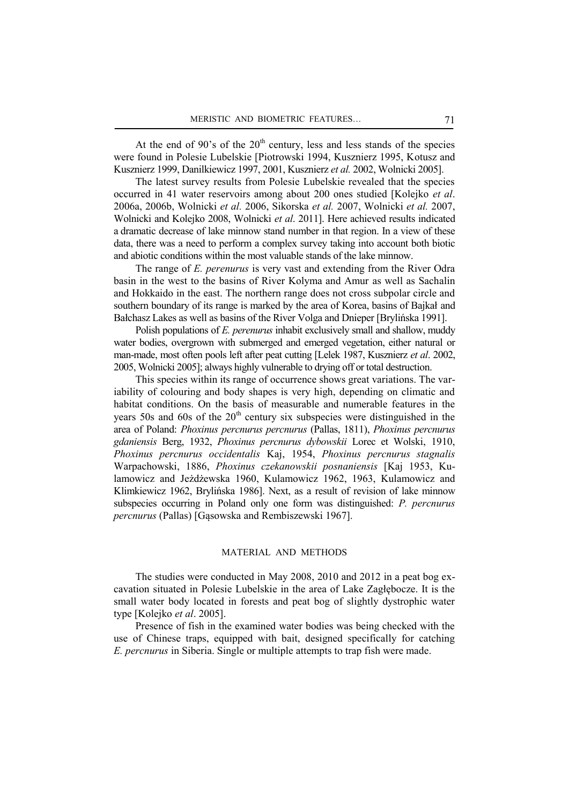At the end of 90's of the  $20<sup>th</sup>$  century, less and less stands of the species were found in Polesie Lubelskie [Piotrowski 1994, Kusznierz 1995, Kotusz and Kusznierz 1999, Danilkiewicz 1997, 2001, Kusznierz *et al.* 2002, Wolnicki 2005].

The latest survey results from Polesie Lubelskie revealed that the species occurred in 41 water reservoirs among about 200 ones studied [Kolejko *et al*. 2006a, 2006b, Wolnicki *et al.* 2006, Sikorska *et al.* 2007, Wolnicki *et al.* 2007, Wolnicki and Kolejko 2008, Wolnicki *et al*. 2011]. Here achieved results indicated a dramatic decrease of lake minnow stand number in that region. In a view of these data, there was a need to perform a complex survey taking into account both biotic and abiotic conditions within the most valuable stands of the lake minnow.

The range of *E. perenurus* is very vast and extending from the River Odra basin in the west to the basins of River Kolyma and Amur as well as Sachalin and Hokkaido in the east. The northern range does not cross subpolar circle and southern boundary of its range is marked by the area of Korea, basins of Bajkał and Bałchasz Lakes as well as basins of the River Volga and Dnieper [Brylińska 1991].

Polish populations of *E. perenurus* inhabit exclusively small and shallow, muddy water bodies, overgrown with submerged and emerged vegetation, either natural or man-made, most often pools left after peat cutting [Lelek 1987, Kusznierz *et al*. 2002, 2005, Wolnicki 2005]; always highly vulnerable to drying off or total destruction.

This species within its range of occurrence shows great variations. The variability of colouring and body shapes is very high, depending on climatic and habitat conditions. On the basis of measurable and numerable features in the years 50s and 60s of the  $20<sup>th</sup>$  century six subspecies were distinguished in the area of Poland: *Phoxinus percnurus percnurus* (Pallas, 1811), *Phoxinus percnurus gdaniensis* Berg, 1932, *Phoxinus percnurus dybowskii* Lorec et Wolski, 1910, *Phoxinus percnurus occidentalis* Kaj, 1954, *Phoxinus percnurus stagnalis* Warpachowski, 1886, *Phoxinus czekanowskii posnaniensis* [Kaj 1953, Kulamowicz and Jeżdżewska 1960, Kulamowicz 1962, 1963, Kulamowicz and Klimkiewicz 1962, Brylińska 1986]. Next, as a result of revision of lake minnow subspecies occurring in Poland only one form was distinguished: *P. percnurus percnurus* (Pallas) [Gąsowska and Rembiszewski 1967].

## MATERIAL AND METHODS

The studies were conducted in May 2008, 2010 and 2012 in a peat bog excavation situated in Polesie Lubelskie in the area of Lake Zagłębocze. It is the small water body located in forests and peat bog of slightly dystrophic water type [Kolejko *et al*. 2005].

Presence of fish in the examined water bodies was being checked with the use of Chinese traps, equipped with bait, designed specifically for catching *E. percnurus* in Siberia. Single or multiple attempts to trap fish were made.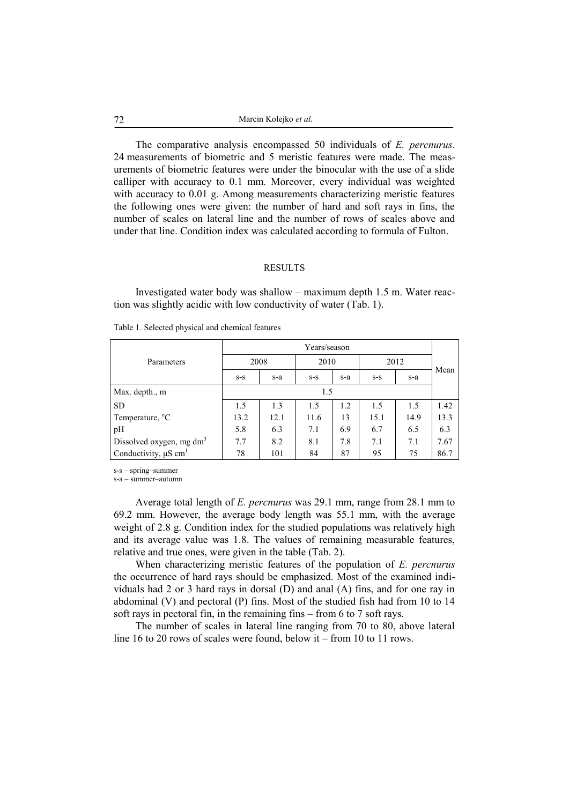The comparative analysis encompassed 50 individuals of *E. percnurus*. 24 measurements of biometric and 5 meristic features were made. The measurements of biometric features were under the binocular with the use of a slide calliper with accuracy to 0.1 mm. Moreover, every individual was weighted with accuracy to 0.01 g. Among measurements characterizing meristic features the following ones were given: the number of hard and soft rays in fins, the number of scales on lateral line and the number of rows of scales above and under that line. Condition index was calculated according to formula of Fulton.

#### RESULTS

Investigated water body was shallow – maximum depth 1.5 m. Water reaction was slightly acidic with low conductivity of water (Tab. 1).

|                                       | Years/season |      |       |     |       |      |      |  |
|---------------------------------------|--------------|------|-------|-----|-------|------|------|--|
| Parameters                            | 2008         |      | 2010  |     | 2012  |      |      |  |
|                                       | $S-S$        | s-a  | $S-S$ | s-a | $S-S$ | s-a  | Mean |  |
| Max. depth., m                        | 1.5          |      |       |     |       |      |      |  |
| <b>SD</b>                             | 1.5          | 1.3  | 1.5   | 1.2 | 1.5   | 1.5  | 1.42 |  |
| Temperature, <sup>o</sup> C           | 13.2         | 12.1 | 11.6  | 13  | 15.1  | 14.9 | 13.3 |  |
| pH                                    | 5.8          | 6.3  | 7.1   | 6.9 | 6.7   | 6.5  | 6.3  |  |
| Dissolved oxygen, mg $dm3$            | 7.7          | 8.2  | 8.1   | 7.8 | 7.1   | 7.1  | 7.67 |  |
| Conductivity, $\mu$ S cm <sup>1</sup> | 78           | 101  | 84    | 87  | 95    | 75   | 86.7 |  |

Table 1. Selected physical and chemical features

s-s – spring–summer

s-a – summer–autumn

Average total length of *E. percnurus* was 29.1 mm, range from 28.1 mm to 69.2 mm. However, the average body length was 55.1 mm, with the average weight of 2.8 g. Condition index for the studied populations was relatively high and its average value was 1.8. The values of remaining measurable features, relative and true ones, were given in the table (Tab. 2).

When characterizing meristic features of the population of *E. percnurus* the occurrence of hard rays should be emphasized. Most of the examined individuals had 2 or 3 hard rays in dorsal (D) and anal (A) fins, and for one ray in abdominal (V) and pectoral (P) fins. Most of the studied fish had from 10 to 14 soft rays in pectoral fin, in the remaining fins – from 6 to 7 soft rays.

The number of scales in lateral line ranging from 70 to 80, above lateral line 16 to 20 rows of scales were found, below it – from 10 to 11 rows.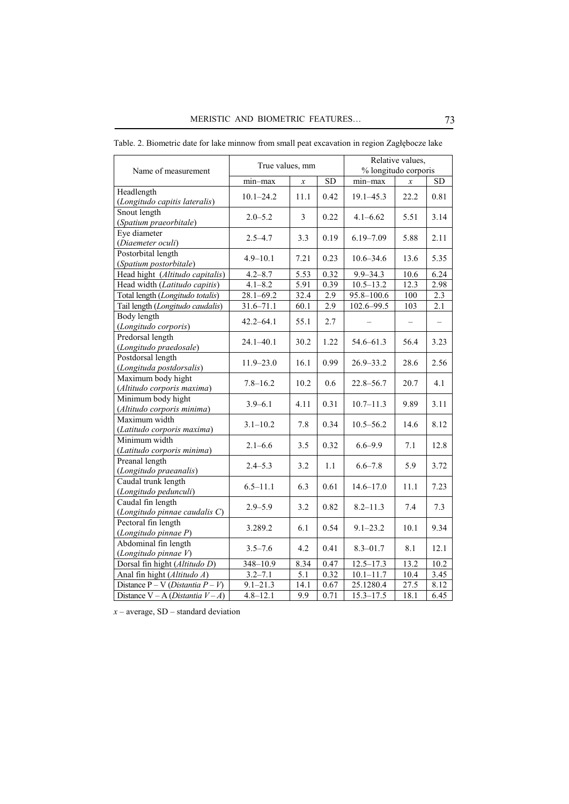| Name of measurement                                | True values, mm |               |           | Relative values,<br>% longitudo corporis |                          |                   |
|----------------------------------------------------|-----------------|---------------|-----------|------------------------------------------|--------------------------|-------------------|
|                                                    | min-max         | $\mathcal{X}$ | <b>SD</b> | $min-max$                                | $\mathcal{X}$            | <b>SD</b>         |
| Headlength<br>(Longitudo capitis lateralis)        | $10.1 - 24.2$   | 11.1          | 0.42      | $19.1 - 45.3$                            | 22.2                     | 0.81              |
| Snout length<br>(Spatium praeorbitale)             | $2.0 - 5.2$     | 3             | 0.22      | $4.1 - 6.62$                             | 5.51                     | 3.14              |
| Eye diameter<br>(Diaemeter oculi)                  | $2.5 - 4.7$     | 3.3           | 0.19      | $6.19 - 7.09$                            | 5.88                     | 2.11              |
| Postorbital length<br>(Spatium postorbitale)       | $4.9 - 10.1$    | 7.21          | 0.23      | $10.6 - 34.6$                            | 13.6                     | 5.35              |
| Head hight (Altitudo capitalis)                    | $4.2 - 8.7$     | 5.53          | 0.32      | $9.9 - 34.3$                             | 10.6                     | 6.24              |
| Head width (Latitudo capitis)                      | $4.1 - 8.2$     | 5.91          | 0.39      | $10.5 - 13.2$                            | 12.3                     | 2.98              |
| Total length (Longitudo totalis)                   | $28.1 - 69.2$   | 32.4          | 2.9       | $95.8 - 100.6$                           | 100                      | $2.\overline{3}$  |
| Tail length (Longitudo caudalis)                   | $31.6 - 71.1$   | 60.1          | 2.9       | $102.6 - 99.5$                           | 103                      | $\overline{2.1}$  |
| Body length<br>(Longitudo corporis)                | $42.2 - 64.1$   | 55.1          | 2.7       |                                          | $\overline{\phantom{m}}$ | $\qquad \qquad -$ |
| Predorsal length<br>(Longitudo praedosale)         | $24.1 - 40.1$   | 30.2          | 1.22      | 54.6-61.3                                | 56.4                     | 3.23              |
| Postdorsal length<br>(Longituda postdorsalis)      | $11.9 - 23.0$   | 16.1          | 0.99      | $26.9 - 33.2$                            | 28.6                     | 2.56              |
| Maximum body hight<br>(Altitudo corporis maxima)   | $7.8 - 16.2$    | 10.2          | 0.6       | $22.8 - 56.7$                            | 20.7                     | 4.1               |
| Minimum body hight<br>(Altitudo corporis minima)   | $3.9 - 6.1$     | 4.11          | 0.31      | $10.7 - 11.3$                            | 9.89                     | 3.11              |
| Maximum width<br>(Latitudo corporis maxima)        | $3.1 - 10.2$    | 7.8           | 0.34      | $10.5 - 56.2$                            | 14.6                     | 8.12              |
| Minimum width<br>(Latitudo corporis minima)        | $2.1 - 6.6$     | 3.5           | 0.32      | $6.6 - 9.9$                              | 7.1                      | 12.8              |
| Preanal length<br>(Longitudo praeanalis)           | $2.4 - 5.3$     | 3.2           | 1.1       | $6.6 - 7.8$                              | 5.9                      | 3.72              |
| Caudal trunk length<br>(Longitudo pedunculi)       | $6.5 - 11.1$    | 6.3           | 0.61      | $14.6 - 17.0$                            | 11.1                     | 7.23              |
| Caudal fin length<br>(Longitudo pinnae caudalis C) | $2.9 - 5.9$     | 3.2           | 0.82      | $8.2 - 11.3$                             | 7.4                      | 7.3               |
| Pectoral fin length<br>(Longitudo pinnae P)        | 3.289.2         | 6.1           | 0.54      | $9.1 - 23.2$                             | 10.1                     | 9.34              |
| Abdominal fin length<br>(Longitudo pinnae V)       | $3.5 - 7.6$     | 4.2           | 0.41      | $8.3 - 01.7$                             | 8.1                      | 12.1              |
| Dorsal fin hight (Altitudo D)                      | 348-10.9        | 8.34          | 0.47      | $12.5 - 17.3$                            | 13.2                     | 10.2              |
| Anal fin hight (Altitudo A)                        | $3.2 - 7.1$     | 5.1           | 0.32      | $10.1 - 11.7$                            | 10.4                     | 3.45              |
| Distance $P - V$ ( <i>Distantia</i> $P - V$ )      | $9.1 - 21.3$    | 14.1          | 0.67      | 25.1280.4                                | 27.5                     | 8.12              |
| Distance $V - A$ ( <i>Distantia</i> $V - A$ )      | $4.8 - 12.1$    | 9.9           | 0.71      | $15.3 - 17.5$                            | 18.1                     | 6.45              |

Table. 2. Biometric date for lake minnow from small peat excavation in region Zagłębocze lake

*x –* average, SD – standard deviation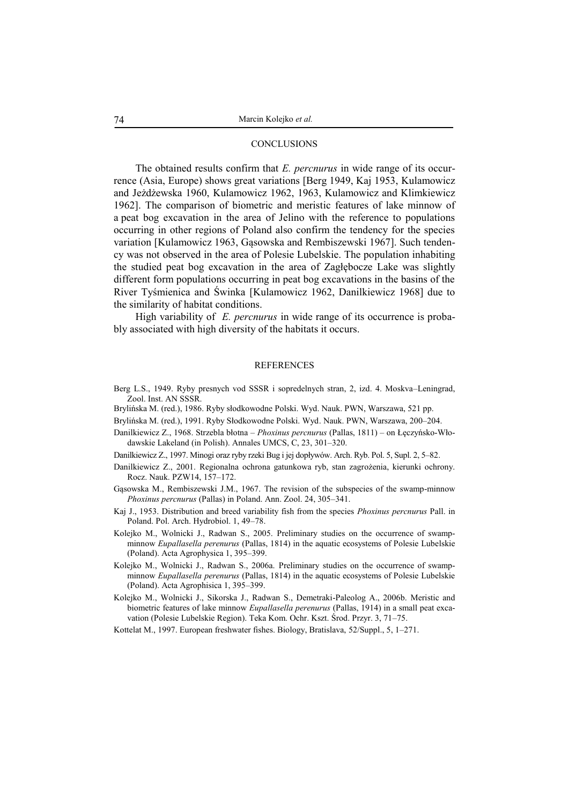#### **CONCLUSIONS**

The obtained results confirm that *E. percnurus* in wide range of its occurrence (Asia, Europe) shows great variations [Berg 1949, Kaj 1953, Kulamowicz and Jeżdżewska 1960, Kulamowicz 1962, 1963, Kulamowicz and Klimkiewicz 1962]. The comparison of biometric and meristic features of lake minnow of a peat bog excavation in the area of Jelino with the reference to populations occurring in other regions of Poland also confirm the tendency for the species variation [Kulamowicz 1963, Gąsowska and Rembiszewski 1967]. Such tendency was not observed in the area of Polesie Lubelskie. The population inhabiting the studied peat bog excavation in the area of Zagłębocze Lake was slightly different form populations occurring in peat bog excavations in the basins of the River Tyśmienica and Świnka [Kulamowicz 1962, Danilkiewicz 1968] due to the similarity of habitat conditions.

High variability of *E. percnurus* in wide range of its occurrence is probably associated with high diversity of the habitats it occurs.

#### **REFERENCES**

- Berg L.S., 1949. Ryby presnych vod SSSR i sopredelnych stran, 2, izd. 4. Moskva–Leningrad, Zool. Inst. AN SSSR.
- Brylińska M. (red.), 1986. Ryby słodkowodne Polski. Wyd. Nauk. PWN, Warszawa, 521 pp.
- Brylińska M. (red.), 1991. Ryby Słodkowodne Polski. Wyd. Nauk. PWN, Warszawa, 200–204.
- Danilkiewicz Z., 1968. Strzebla błotna *Phoxinus percnurus* (Pallas, 1811) on Łęczyńsko-Włodawskie Lakeland (in Polish). Annales UMCS, C, 23, 301–320.
- Danilkiewicz Z., 1997. Minogi oraz ryby rzeki Bug i jej dopływów. Arch. Ryb. Pol. 5, Supl. 2, 5–82.
- Danilkiewicz Z., 2001. Regionalna ochrona gatunkowa ryb, stan zagrożenia, kierunki ochrony. Rocz. Nauk. PZW14, 157–172.
- Gąsowska M., Rembiszewski J.M., 1967. The revision of the subspecies of the swamp-minnow *Phoxinus percnurus* (Pallas) in Poland. Ann. Zool. 24, 305–341.
- Kaj J., 1953. Distribution and breed variability fish from the species *Phoxinus percnurus* Pall. in Poland. Pol. Arch. Hydrobiol. 1, 49–78.
- Kolejko M., Wolnicki J., Radwan S., 2005. Preliminary studies on the occurrence of swampminnow *Eupallasella perenurus* (Pallas, 1814) in the aquatic ecosystems of Polesie Lubelskie (Poland). Acta Agrophysica 1, 395–399.
- Kolejko M., Wolnicki J., Radwan S., 2006a. Preliminary studies on the occurrence of swampminnow *Eupallasella perenurus* (Pallas, 1814) in the aquatic ecosystems of Polesie Lubelskie (Poland). Acta Agrophisica 1, 395–399.
- Kolejko M., Wolnicki J., Sikorska J., Radwan S., Demetraki-Paleolog A., 2006b. Meristic and biometric features of lake minnow *Eupallasella perenurus* (Pallas, 1914) in a small peat excavation (Polesie Lubelskie Region). Teka Kom. Ochr. Kszt. Środ. Przyr. 3, 71–75.
- Kottelat M., 1997. European freshwater fishes. Biology, Bratislava, 52/Suppl., 5, 1–271.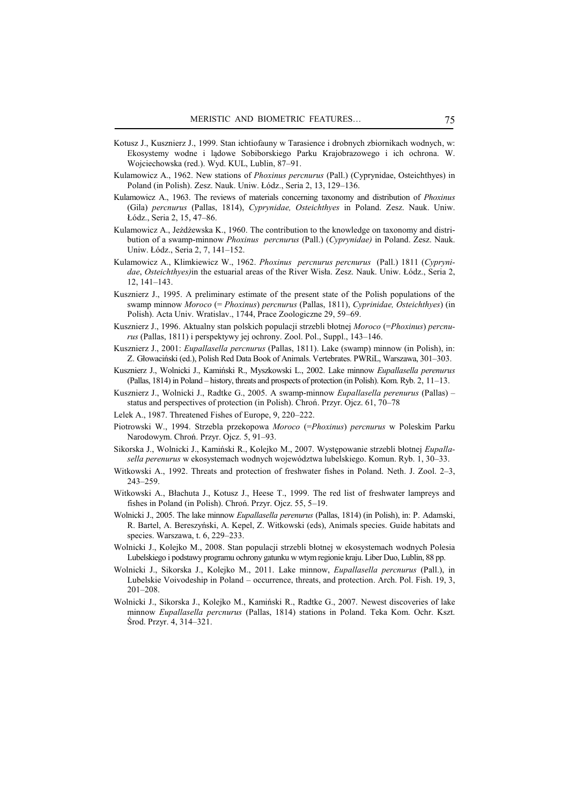- Kotusz J., Kusznierz J., 1999. Stan ichtiofauny w Tarasience i drobnych zbiornikach wodnych, w: Ekosystemy wodne i lądowe Sobiborskiego Parku Krajobrazowego i ich ochrona. W. Wojciechowska (red.). Wyd. KUL, Lublin, 87–91.
- Kulamowicz A., 1962. New stations of *Phoxinus percnurus* (Pall.) (Cyprynidae, Osteichthyes) in Poland (in Polish). Zesz. Nauk. Uniw. Łódz., Seria 2, 13, 129–136.
- Kulamowicz A., 1963. The reviews of materials concerning taxonomy and distribution of *Phoxinus*  (Gila) *percnurus* (Pallas, 1814), *Cyprynidae, Osteichthyes* in Poland. Zesz. Nauk. Uniw. Łódz., Seria 2, 15, 47–86.
- Kulamowicz A., Jeżdżewska K., 1960. The contribution to the knowledge on taxonomy and distribution of a swamp-minnow *Phoxinus percnurus* (Pall.) (*Cyprynidae)* in Poland. Zesz. Nauk. Uniw. Łódz., Seria 2, 7, 141–152.
- Kulamowicz A., Klimkiewicz W., 1962. *Phoxinus percnurus percnurus* (Pall.) 1811 (*Cyprynidae*, *Osteichthyes)*in the estuarial areas of the River Wisła. Zesz. Nauk. Uniw. Łódz., Seria 2, 12, 141–143.
- Kusznierz J., 1995. A preliminary estimate of the present state of the Polish populations of the swamp minnow *Moroco* (= *Phoxinus*) *percnurus* (Pallas, 1811), *Cyprinidae, Osteichthyes*) (in Polish). Acta Univ. Wratislav., 1744, Prace Zoologiczne 29, 59–69.
- Kusznierz J., 1996. Aktualny stan polskich populacji strzebli błotnej *Moroco* (=*Phoxinus*) *percnurus* (Pallas, 1811) i perspektywy jej ochrony. Zool. Pol., Suppl., 143–146.
- Kusznierz J., 2001: *Eupallasella percnurus* (Pallas, 1811). Lake (swamp) minnow (in Polish), in: Z. Głowaciński (ed.), Polish Red Data Book of Animals. Vertebrates. PWRiL, Warszawa, 301–303.
- Kusznierz J., Wolnicki J., Kamiński R., Myszkowski L., 2002. Lake minnow *Eupallasella perenurus* (Pallas, 1814) in Poland – history, threats and prospects of protection (in Polish). Kom. Ryb. 2, 11–13.
- Kusznierz J., Wolnicki J., Radtke G., 2005. A swamp-minnow *Eupallasella perenurus* (Pallas) status and perspectives of protection (in Polish). Chroń. Przyr. Ojcz. 61, 70–78
- Lelek A., 1987. Threatened Fishes of Europe, 9, 220–222.
- Piotrowski W., 1994. Strzebla przekopowa *Moroco* (=*Phoxinus*) *percnurus* w Poleskim Parku Narodowym. Chroń. Przyr. Ojcz. 5, 91–93.
- Sikorska J., Wolnicki J., Kamiński R., Kolejko M., 2007. Występowanie strzebli błotnej *Eupallasella perenurus* w ekosystemach wodnych województwa lubelskiego. Komun. Ryb. 1, 30–33.
- Witkowski A., 1992. Threats and protection of freshwater fishes in Poland. Neth. J. Zool. 2–3, 243–259.
- Witkowski A., Błachuta J., Kotusz J., Heese T., 1999. The red list of freshwater lampreys and fishes in Poland (in Polish). Chroń. Przyr. Ojcz. 55, 5–19.
- Wolnicki J., 2005. The lake minnow *Eupallasella perenurus* (Pallas, 1814) (in Polish), in: P. Adamski, R. Bartel, A. Bereszyński, A. Kepel, Z. Witkowski (eds), Animals species. Guide habitats and species. Warszawa, t. 6, 229–233.
- Wolnicki J., Kolejko M., 2008. Stan populacji strzebli błotnej w ekosystemach wodnych Polesia Lubelskiego i podstawy programu ochrony gatunku w wtym regionie kraju. Liber Duo, Lublin, 88 pp.
- Wolnicki J., Sikorska J., Kolejko M., 2011. Lake minnow, *Eupallasella percnurus* (Pall.), in Lubelskie Voivodeship in Poland – occurrence, threats, and protection. Arch. Pol. Fish. 19, 3, 201–208.
- Wolnicki J., Sikorska J., Kolejko M., Kamiński R., Radtke G., 2007. Newest discoveries of lake minnow *Eupallasella percnurus* (Pallas, 1814) stations in Poland. Teka Kom. Ochr. Kszt. Środ. Przyr. 4, 314–321.